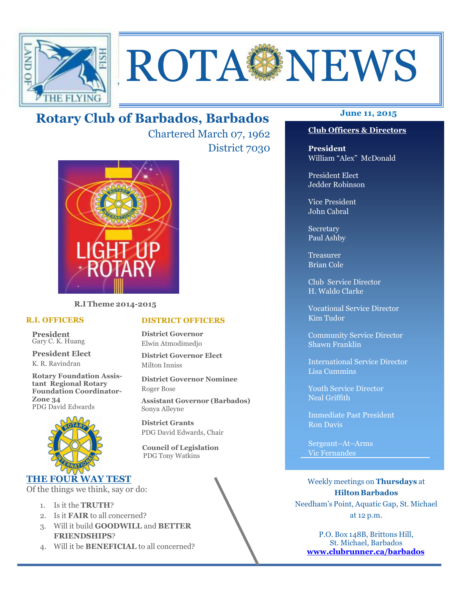

# ROTA NEWS

### **June 11, 2015 Rotary Club of Barbados, Barbados**

Chartered March 07, 1962 District 7030



**R.I Theme 2014-2015** 

### **R.I. OFFICERS**

**President** Gary C. K. Huang

**President Elect** K. R. Ravindran

**Rotary Foundation Assistant Regional Rotary Foundation Coordinator-Zone 34**  PDG David Edwards



### **THE FOUR WAY TEST**

Of the things we think, say or do:

- 1. Is it the **TRUTH**?
- 2. Is it **FAIR** to all concerned?
- 3. Will it build **GOODWILL** and **BETTER FRIENDSHIPS**?
- 4. Will it be **BENEFICIAL** to all concerned?

### **DISTRICT OFFICERS**

**District Governor** Elwin Atmodimedjo

**District Governor Elect** Milton Inniss

**District Governor Nominee**  Roger Bose

**Assistant Governor (Barbados)** Sonya Alleyne

**District Grants**  PDG David Edwards, Chair

 **Council of Legislation**  PDG Tony Watkins

### **Club Officers & Directors**

**President** William "Alex" McDonald

President Elect Jedder Robinson

Vice President John Cabral

Secretary Paul Ashby

Treasurer Brian Cole

Club Service Director H. Waldo Clarke

Vocational Service Director Kim Tudor

Community Service Director Shawn Franklin

International Service Director Lisa Cummins

Youth Service Director Neal Griffith

Immediate Past President Ron Davis

Sergeant–At–Arms Vic Fernandes

Weekly meetings on **Thursdays** at **Hilton Barbados** Needham's Point, Aquatic Gap, St. Michael at 12 p.m.

P.O. Box 148B, Brittons Hill, St. Michael, Barbados **www.clubrunner.ca/barbados**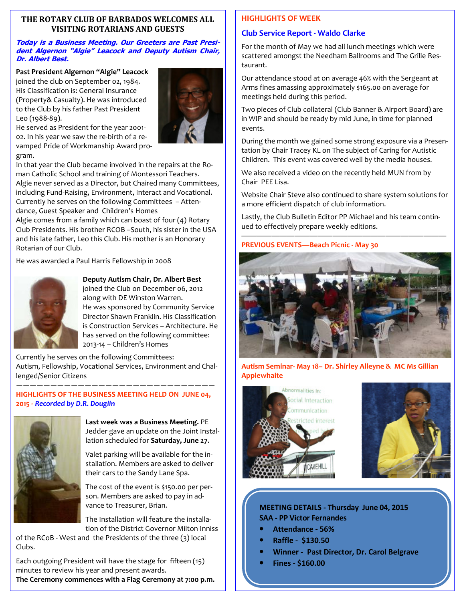### **THE ROTARY CLUB OF BARBADOS WELCOMES ALL VISITING ROTARIANS AND GUESTS**

### **Today is a Business Meeting. Our Greeters are Past President Algernon "Algie" Leacock and Deputy Autism Chair, Dr. Albert Best.**

**Past President Algernon "Algie" Leacock** 

joined the club on September 02, 1984. His Classification is: General Insurance (Property& Casualty). He was introduced to the Club by his father Past President Leo (1988-89).



He served as President for the year 2001- 02. In his year we saw the re-birth of a revamped Pride of Workmanship Award program.

In that year the Club became involved in the repairs at the Roman Catholic School and training of Montessori Teachers. Algie never served as a Director, but Chaired many Committees, including Fund-Raising, Environment, Interact and Vocational. Currently he serves on the following Committees – Attendance, Guest Speaker and Children's Homes

Algie comes from a family which can boast of four (4) Rotary Club Presidents. His brother RCOB –South, his sister in the USA and his late father, Leo this Club. His mother is an Honorary Rotarian of our Club.

He was awarded a Paul Harris Fellowship in 2008



### **Deputy Autism Chair, Dr. Albert Best**

joined the Club on December 06, 2012 along with DE Winston Warren. He was sponsored by Community Service Director Shawn Franklin. His Classification is Construction Services – Architecture. He has served on the following committee: 2013-14 – Children's Homes

Currently he serves on the following Committees: Autism, Fellowship, Vocational Services, Environment and Challenged/Senior Citizens —————————————————————————————

### **HIGHLIGHTS OF THE BUSINESS MEETING HELD ON JUNE 04, 2015 -** *Recorded by D.R. Douglin*



**Last week was a Business Meeting.** PE Jedder gave an update on the Joint Installation scheduled for **Saturday, June 27**.

Valet parking will be available for the installation. Members are asked to deliver their cars to the Sandy Lane Spa.

The cost of the event is \$150.00 per person. Members are asked to pay in advance to Treasurer, Brian.

The Installation will feature the installation of the District Governor Milton Inniss

of the RCoB - West and the Presidents of the three (3) local Clubs.

 minutes to review his year and present awards. Each outgoing President will have the stage for fifteen (15)

**The Ceremony commences with a Flag Ceremony at 7:00 p.m.** 

### **HIGHLIGHTS OF WEEK**

### **Club Service Report - Waldo Clarke**

For the month of May we had all lunch meetings which were scattered amongst the Needham Ballrooms and The Grille Restaurant.

Our attendance stood at on average 46% with the Sergeant at Arms fines amassing approximately \$165.00 on average for meetings held during this period.

Two pieces of Club collateral (Club Banner & Airport Board) are in WIP and should be ready by mid June, in time for planned events.

During the month we gained some strong exposure via a Presentation by Chair Tracey KL on The subject of Caring for Autistic Children. This event was covered well by the media houses.

We also received a video on the recently held MUN from by Chair PEE Lisa.

Website Chair Steve also continued to share system solutions for a more efficient dispatch of club information.

Lastly, the Club Bulletin Editor PP Michael and his team continued to effectively prepare weekly editions.

———————————————————————————

### **PREVIOUS EVENTS—Beach Picnic - May 30**



**Autism Seminar- May 18– Dr. Shirley Alleyne & MC Ms Gillian Applewhaite** 





**MEETING DETAILS - Thursday June 04, 2015 SAA - PP Victor Fernandes** 

- **Attendance 56%**
- **Raffle \$130.50**
- **Winner Past Director, Dr. Carol Belgrave**
- **Fines \$160.00**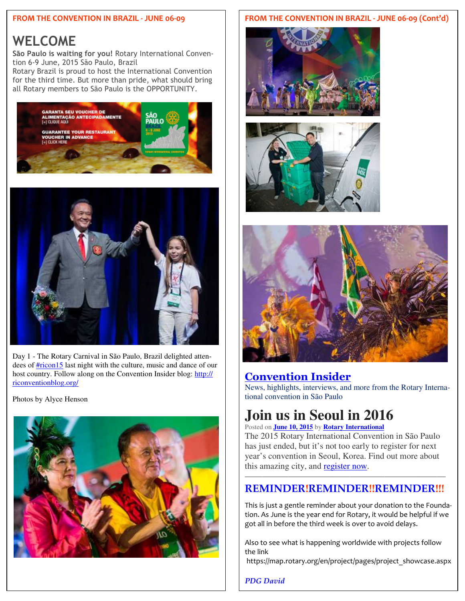### **FROM THE CONVENTION IN BRAZIL - JUNE 06-09**

### **WELCOME**

**São Paulo is waiting for you!** Rotary International Convention 6-9 June, 2015 São Paulo, Brazil

Rotary Brazil is proud to host the International Convention for the third time. But more than pride, what should bring all Rotary members to São Paulo is the OPPORTUNITY.





Day 1 - The Rotary Carnival in São Paulo, Brazil delighted attendees of **#ricon15** last night with the culture, music and dance of our host country. Follow along on the Convention Insider blog: http:// riconventionblog.org/

Photos by Alyce Henson



### **FROM THE CONVENTION IN BRAZIL - JUNE 06-09 (Cont'd)**







### **Convention Insider**

News, highlights, interviews, and more from the Rotary International convention in São Paulo

## **Join us in Seoul in 2016**

Posted on **June 10, 2015** by **Rotary International**

The 2015 Rotary International Convention in São Paulo has just ended, but it's not too early to register for next year's convention in Seoul, Korea. Find out more about this amazing city, and register now.

### ——————————————————————— **REMINDER!REMINDER!!REMINDER!!!**

This is just a gentle reminder about your donation to the Foundation. As June is the year end for Rotary, it would be helpful if we got all in before the third week is over to avoid delays.

Also to see what is happening worldwide with projects follow the link

https://map.rotary.org/en/project/pages/project\_showcase.aspx

*PDG David*